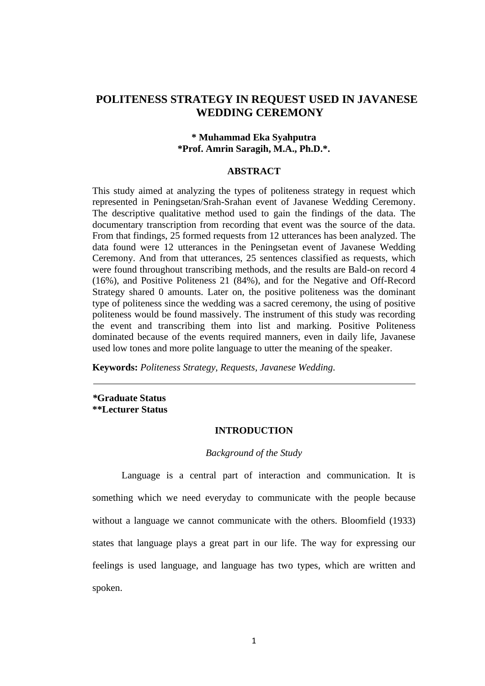# **POLITENESS STRATEGY IN REQUEST USED IN JAVANESE WEDDING CEREMONY**

# **\* Muhammad Eka Syahputra \*Prof. Amrin Saragih, M.A., Ph.D.\*.**

#### **ABSTRACT**

This study aimed at analyzing the types of politeness strategy in request which represented in Peningsetan/Srah-Srahan event of Javanese Wedding Ceremony. The descriptive qualitative method used to gain the findings of the data. The documentary transcription from recording that event was the source of the data. From that findings, 25 formed requests from 12 utterances has been analyzed. The data found were 12 utterances in the Peningsetan event of Javanese Wedding Ceremony. And from that utterances, 25 sentences classified as requests, which were found throughout transcribing methods, and the results are Bald-on record 4 (16%), and Positive Politeness 21 (84%), and for the Negative and Off-Record Strategy shared 0 amounts. Later on, the positive politeness was the dominant type of politeness since the wedding was a sacred ceremony, the using of positive politeness would be found massively. The instrument of this study was recording the event and transcribing them into list and marking. Positive Politeness dominated because of the events required manners, even in daily life, Javanese used low tones and more polite language to utter the meaning of the speaker.

**Keywords:** *Politeness Strategy, Requests, Javanese Wedding.*

*\****Graduate Status \*\*Lecturer Status**

#### **INTRODUCTION**

#### *Background of the Study*

Language is a central part of interaction and communication. It is something which we need everyday to communicate with the people because without a language we cannot communicate with the others. Bloomfield (1933) states that language plays a great part in our life. The way for expressing our feelings is used language, and language has two types, which are written and spoken.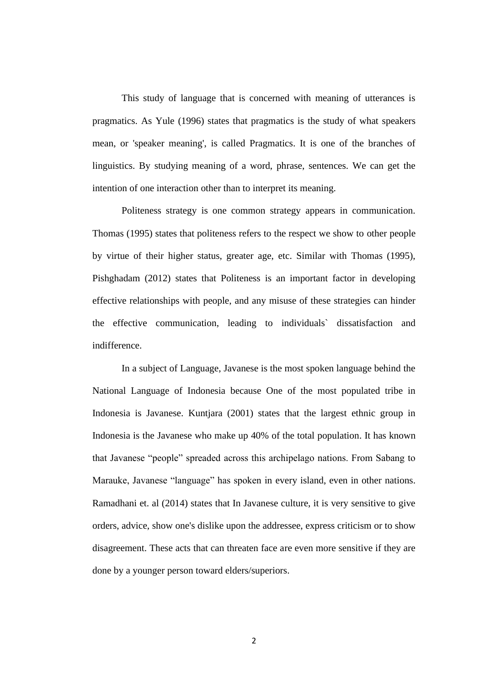This study of language that is concerned with meaning of utterances is pragmatics. As Yule (1996) states that pragmatics is the study of what speakers mean, or 'speaker meaning', is called Pragmatics. It is one of the branches of linguistics. By studying meaning of a word, phrase, sentences. We can get the intention of one interaction other than to interpret its meaning.

Politeness strategy is one common strategy appears in communication. Thomas (1995) states that politeness refers to the respect we show to other people by virtue of their higher status, greater age, etc. Similar with Thomas (1995), Pishghadam (2012) states that Politeness is an important factor in developing effective relationships with people, and any misuse of these strategies can hinder the effective communication, leading to individuals` dissatisfaction and indifference.

In a subject of Language, Javanese is the most spoken language behind the National Language of Indonesia because One of the most populated tribe in Indonesia is Javanese. Kuntjara (2001) states that the largest ethnic group in Indonesia is the [Javanese](http://en.wikipedia.org/wiki/Javanese_people) who make up 40% of the total population. It has known that Javanese "people" spreaded across this archipelago nations. From Sabang to Marauke, Javanese "language" has spoken in every island, even in other nations. Ramadhani et. al (2014) states that In Javanese culture, it is very sensitive to give orders, advice, show one's dislike upon the addressee, express criticism or to show disagreement. These acts that can threaten face are even more sensitive if they are done by a younger person toward elders/superiors.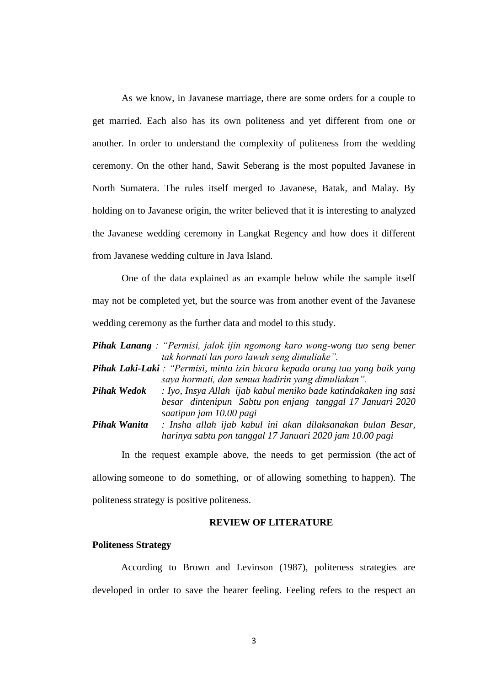As we know, in Javanese marriage, there are some orders for a couple to get married. Each also has its own politeness and yet different from one or another. In order to understand the complexity of politeness from the wedding ceremony. On the other hand, Sawit Seberang is the most populted Javanese in North Sumatera. The rules itself merged to Javanese, Batak, and Malay. By holding on to Javanese origin, the writer believed that it is interesting to analyzed the Javanese wedding ceremony in Langkat Regency and how does it different from Javanese wedding culture in Java Island.

One of the data explained as an example below while the sample itself may not be completed yet, but the source was from another event of the Javanese wedding ceremony as the further data and model to this study.

|                     | <b>Pihak Lanang</b> : "Permisi, jalok ijin ngomong karo wong-wong tuo seng bener     |
|---------------------|--------------------------------------------------------------------------------------|
|                     | tak hormati lan poro lawuh seng dimuliake".                                          |
|                     | Pihak Laki-Laki : "Permisi, minta izin bicara kepada orang tua yang baik yang        |
|                     | saya hormati, dan semua hadirin yang dimuliakan".                                    |
| <b>Pihak Wedok</b>  | : Iyo, Insya Allah ijab kabul meniko bade katindakaken ing sasi                      |
|                     | besar dintenipun Sabtu pon enjang tanggal 17 Januari 2020<br>saatipun jam 10.00 pagi |
| <b>Pihak Wanita</b> | : Insha allah ijab kabul ini akan dilaksanakan bulan Besar,                          |
|                     | harinya sabtu pon tanggal 17 Januari 2020 jam 10.00 pagi                             |

In the request example above, the needs to get permission (the [act](https://dictionary.cambridge.org/dictionary/english/act) of [allowing](https://dictionary.cambridge.org/dictionary/english/allow) someone to do something, or of [allowing](https://dictionary.cambridge.org/dictionary/english/allow) something to [happen\)](https://dictionary.cambridge.org/dictionary/english/happen). The politeness strategy is positive politeness.

## **REVIEW OF LITERATURE**

#### **Politeness Strategy**

According to Brown and Levinson (1987), politeness strategies are developed in order to save the hearer feeling. Feeling refers to the respect an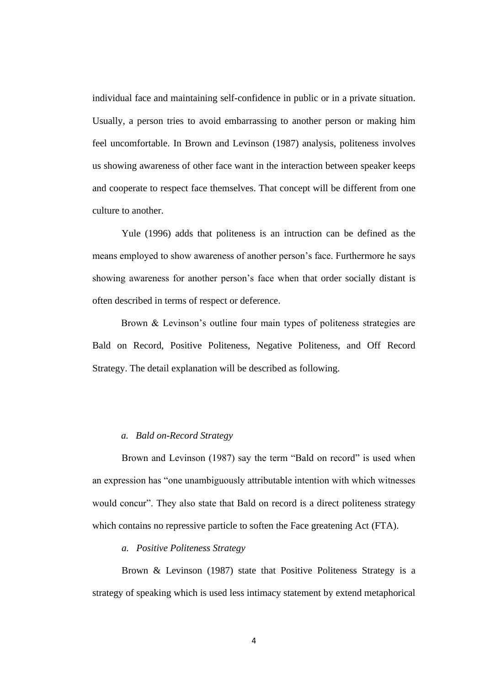individual face and maintaining self-confidence in public or in a private situation. Usually, a person tries to avoid embarrassing to another person or making him feel uncomfortable. In Brown and Levinson (1987) analysis, politeness involves us showing awareness of other face want in the interaction between speaker keeps and cooperate to respect face themselves. That concept will be different from one culture to another.

Yule (1996) adds that politeness is an intruction can be defined as the means employed to show awareness of another person's face. Furthermore he says showing awareness for another person's face when that order socially distant is often described in terms of respect or deference.

Brown & Levinson's outline four main types of politeness strategies are Bald on Record, Positive Politeness, Negative Politeness, and Off Record Strategy. The detail explanation will be described as following.

## *a. Bald on-Record Strategy*

Brown and Levinson (1987) say the term "Bald on record" is used when an expression has "one unambiguously attributable intention with which witnesses would concur". They also state that Bald on record is a direct politeness strategy which contains no repressive particle to soften the Face greatening Act (FTA).

## *a. Positive Politeness Strategy*

Brown & Levinson (1987) state that Positive Politeness Strategy is a strategy of speaking which is used less intimacy statement by extend metaphorical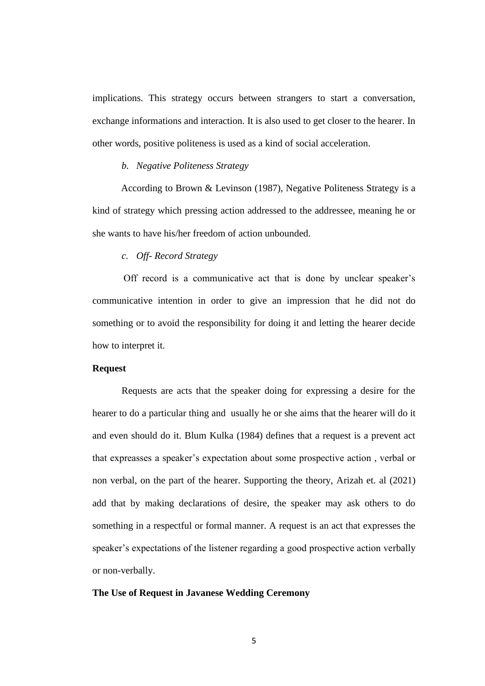implications. This strategy occurs between strangers to start a conversation, exchange informations and interaction. It is also used to get closer to the hearer. In other words, positive politeness is used as a kind of social acceleration.

# *b. Negative Politeness Strategy*

According to Brown & Levinson (1987), Negative Politeness Strategy is a kind of strategy which pressing action addressed to the addressee, meaning he or she wants to have his/her freedom of action unbounded.

## *c. Off- Record Strategy*

Off record is a communicative act that is done by unclear speaker's communicative intention in order to give an impression that he did not do something or to avoid the responsibility for doing it and letting the hearer decide how to interpret it.

#### **Request**

Requests are acts that the speaker doing for expressing a desire for the hearer to do a particular thing and usually he or she aims that the hearer will do it and even should do it. Blum Kulka (1984) defines that a request is a prevent act that expreasses a speaker's expectation about some prospective action , verbal or non verbal, on the part of the hearer. Supporting the theory, Arizah et. al (2021) add that by making declarations of desire, the speaker may ask others to do something in a respectful or formal manner. A request is an act that expresses the speaker's expectations of the listener regarding a good prospective action verbally or non-verbally.

## **The Use of Request in Javanese Wedding Ceremony**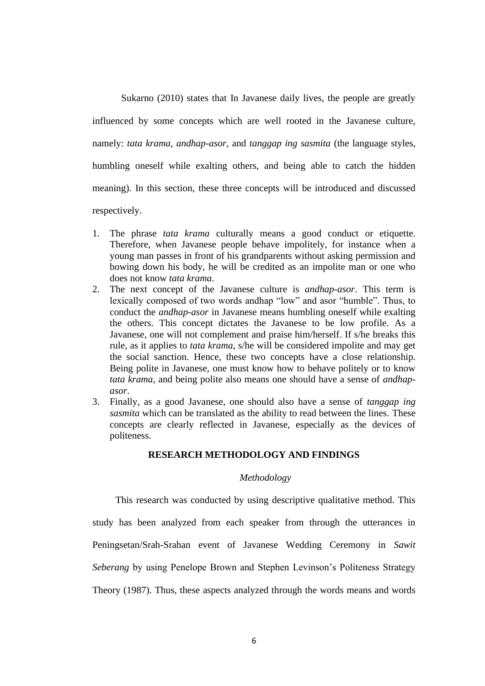Sukarno (2010) states that In Javanese daily lives, the people are greatly

influenced by some concepts which are well rooted in the Javanese culture, namely: *tata krama, andhap-asor,* and *tanggap ing sasmita* (the language styles, humbling oneself while exalting others, and being able to catch the hidden meaning). In this section, these three concepts will be introduced and discussed respectively.

- 1. The phrase *tata krama* culturally means a good conduct or etiquette. Therefore, when Javanese people behave impolitely, for instance when a young man passes in front of his grandparents without asking permission and bowing down his body, he will be credited as an impolite man or one who does not know *tata krama*.
- 2. The next concept of the Javanese culture is *andhap-asor*. This term is lexically composed of two words andhap "low" and asor "humble". Thus, to conduct the *andhap-asor* in Javanese means humbling oneself while exalting the others. This concept dictates the Javanese to be low profile. As a Javanese, one will not complement and praise him/herself. If s/he breaks this rule, as it applies to *tata krama*, s/he will be considered impolite and may get the social sanction. Hence, these two concepts have a close relationship. Being polite in Javanese, one must know how to behave politely or to know *tata krama*, and being polite also means one should have a sense of *andhapasor*.
- 3. Finally, as a good Javanese, one should also have a sense of *tanggap ing sasmita* which can be translated as the ability to read between the lines. These concepts are clearly reflected in Javanese, especially as the devices of politeness.

# **RESEARCH METHODOLOGY AND FINDINGS**

### *Methodology*

This research was conducted by using descriptive qualitative method. This study has been analyzed from each speaker from through the utterances in Peningsetan/Srah-Srahan event of Javanese Wedding Ceremony in *Sawit Seberang* by using Penelope Brown and Stephen Levinson's Politeness Strategy Theory (1987). Thus, these aspects analyzed through the words means and words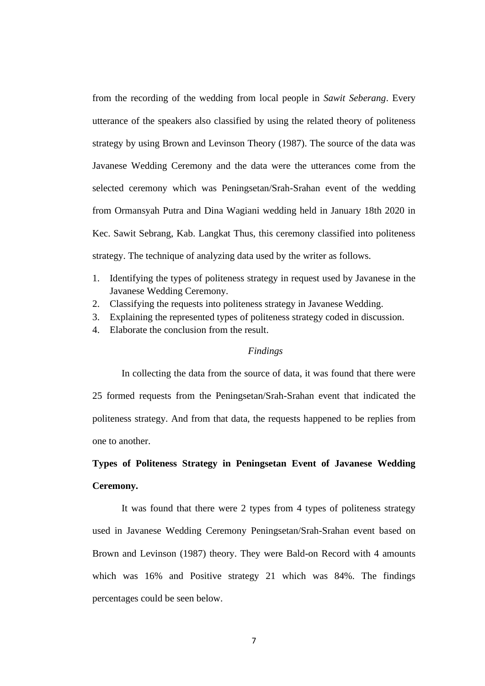from the recording of the wedding from local people in *Sawit Seberang*. Every utterance of the speakers also classified by using the related theory of politeness strategy by using Brown and Levinson Theory (1987). The source of the data was Javanese Wedding Ceremony and the data were the utterances come from the selected ceremony which was Peningsetan/Srah-Srahan event of the wedding from Ormansyah Putra and Dina Wagiani wedding held in January 18th 2020 in Kec. Sawit Sebrang, Kab. Langkat Thus, this ceremony classified into politeness strategy. The technique of analyzing data used by the writer as follows.

- 1. Identifying the types of politeness strategy in request used by Javanese in the Javanese Wedding Ceremony.
- 2. Classifying the requests into politeness strategy in Javanese Wedding.
- 3. Explaining the represented types of politeness strategy coded in discussion.
- 4. Elaborate the conclusion from the result.

#### *Findings*

In collecting the data from the source of data, it was found that there were 25 formed requests from the Peningsetan/Srah-Srahan event that indicated the politeness strategy. And from that data, the requests happened to be replies from one to another.

# **Types of Politeness Strategy in Peningsetan Event of Javanese Wedding Ceremony.**

It was found that there were 2 types from 4 types of politeness strategy used in Javanese Wedding Ceremony Peningsetan/Srah-Srahan event based on Brown and Levinson (1987) theory. They were Bald-on Record with 4 amounts which was 16% and Positive strategy 21 which was 84%. The findings percentages could be seen below.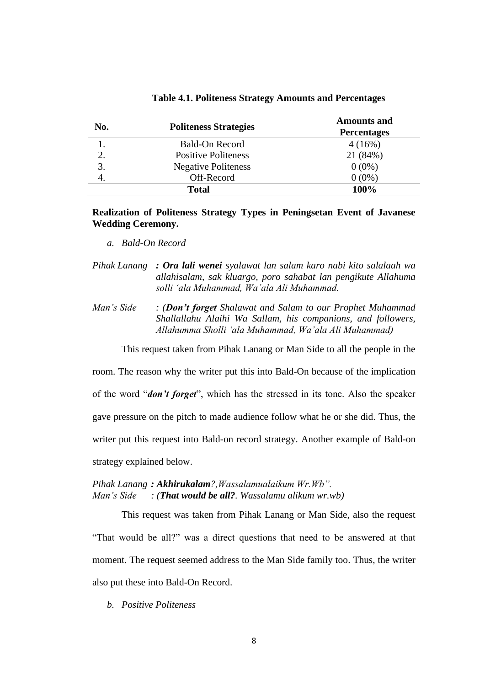| No. | <b>Politeness Strategies</b> | <b>Amounts and</b><br><b>Percentages</b> |
|-----|------------------------------|------------------------------------------|
|     | Bald-On Record               | 4(16%)                                   |
| 2.  | <b>Positive Politeness</b>   | 21 (84%)                                 |
| 3.  | <b>Negative Politeness</b>   | $0(0\%)$                                 |
|     | Off-Record                   | $0(0\%)$                                 |
|     | <b>Total</b>                 | 100%                                     |

**Table 4.1. Politeness Strategy Amounts and Percentages**

**Realization of Politeness Strategy Types in Peningsetan Event of Javanese Wedding Ceremony.**

- *a. Bald-On Record*
- *Pihak Lanang : Ora lali wenei syalawat lan salam karo nabi kito salalaah wa allahisalam, sak kluargo, poro sahabat lan pengikute Allahuma solli 'ala Muhammad, Wa'ala Ali Muhammad.*
- *Man's Side : (Don't forget Shalawat and Salam to our Prophet Muhammad Shallallahu Alaihi Wa Sallam, his companions, and followers, Allahumma Sholli 'ala Muhammad, Wa'ala Ali Muhammad)*

This request taken from Pihak Lanang or Man Side to all the people in the

room. The reason why the writer put this into Bald-On because of the implication of the word "*don't forget*", which has the stressed in its tone. Also the speaker gave pressure on the pitch to made audience follow what he or she did. Thus, the writer put this request into Bald-on record strategy. Another example of Bald-on strategy explained below.

# *Pihak Lanang : Akhirukalam?,Wassalamualaikum Wr.Wb". Man's Side : (That would be all?. Wassalamu alikum wr.wb)*

This request was taken from Pihak Lanang or Man Side, also the request "That would be all?" was a direct questions that need to be answered at that moment. The request seemed address to the Man Side family too. Thus, the writer also put these into Bald-On Record.

*b. Positive Politeness*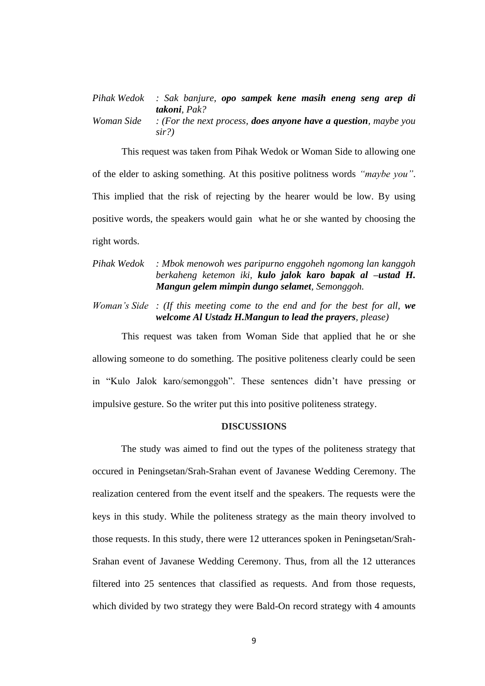| Pihak Wedok : Sak banjure, opo sampek kene masih eneng seng arep di<br><b>takoni</b> , Pak? |
|---------------------------------------------------------------------------------------------|
| Woman Side : (For the next process, <b>does anyone have a question</b> , maybe you<br>sir?  |

This request was taken from Pihak Wedok or Woman Side to allowing one of the elder to asking something. At this positive politness words *"maybe you"*. This implied that the risk of rejecting by the hearer would be low. By using positive words, the speakers would gain what he or she wanted by choosing the right words.

# *Pihak Wedok : Mbok menowoh wes paripurno enggoheh ngomong lan kanggoh berkaheng ketemon iki, kulo jalok karo bapak al –ustad H. Mangun gelem mimpin dungo selamet, Semonggoh.*

*Woman's Side : (If this meeting come to the end and for the best for all, we welcome Al Ustadz H.Mangun to lead the prayers, please)*

This request was taken from Woman Side that applied that he or she allowing someone to do something. The positive politeness clearly could be seen in "Kulo Jalok karo/semonggoh". These sentences didn't have pressing or impulsive gesture. So the writer put this into positive politeness strategy.

## **DISCUSSIONS**

The study was aimed to find out the types of the politeness strategy that occured in Peningsetan/Srah-Srahan event of Javanese Wedding Ceremony. The realization centered from the event itself and the speakers. The requests were the keys in this study. While the politeness strategy as the main theory involved to those requests. In this study, there were 12 utterances spoken in Peningsetan/Srah-Srahan event of Javanese Wedding Ceremony. Thus, from all the 12 utterances filtered into 25 sentences that classified as requests. And from those requests, which divided by two strategy they were Bald-On record strategy with 4 amounts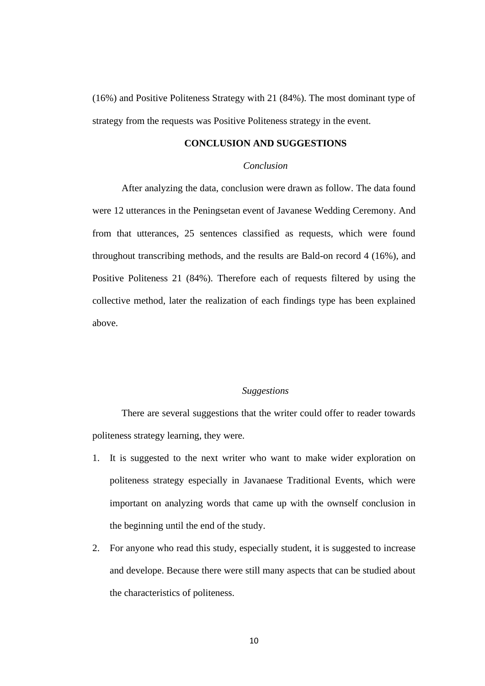(16%) and Positive Politeness Strategy with 21 (84%). The most dominant type of strategy from the requests was Positive Politeness strategy in the event.

# **CONCLUSION AND SUGGESTIONS**

# *Conclusion*

After analyzing the data, conclusion were drawn as follow. The data found were 12 utterances in the Peningsetan event of Javanese Wedding Ceremony. And from that utterances, 25 sentences classified as requests, which were found throughout transcribing methods, and the results are Bald-on record 4 (16%), and Positive Politeness 21 (84%). Therefore each of requests filtered by using the collective method, later the realization of each findings type has been explained above.

## *Suggestions*

There are several suggestions that the writer could offer to reader towards politeness strategy learning, they were.

- 1. It is suggested to the next writer who want to make wider exploration on politeness strategy especially in Javanaese Traditional Events, which were important on analyzing words that came up with the ownself conclusion in the beginning until the end of the study.
- 2. For anyone who read this study, especially student, it is suggested to increase and develope. Because there were still many aspects that can be studied about the characteristics of politeness.